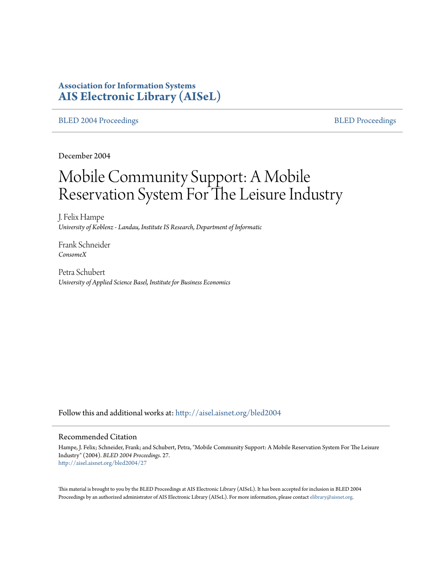# **Association for Information Systems [AIS Electronic Library \(AISeL\)](http://aisel.aisnet.org?utm_source=aisel.aisnet.org%2Fbled2004%2F27&utm_medium=PDF&utm_campaign=PDFCoverPages)**

#### [BLED 2004 Proceedings](http://aisel.aisnet.org/bled2004?utm_source=aisel.aisnet.org%2Fbled2004%2F27&utm_medium=PDF&utm_campaign=PDFCoverPages) and the state of the state of the [BLED Proceedings](http://aisel.aisnet.org/bled?utm_source=aisel.aisnet.org%2Fbled2004%2F27&utm_medium=PDF&utm_campaign=PDFCoverPages) and the BLED Proceedings and the BLED Proceedings and the BLED Proceedings and the BLED Proceedings and the BLED Proceedings and the BLED Proceedings

December 2004

# Mobile Community Support: A Mobile Reservation System For The Leisure Industry

J. Felix Hampe *University of Koblenz - Landau, Institute IS Research, Department of Informatic*

Frank Schneider *ConsomeX*

Petra Schubert *University of Applied Science Basel, Institute for Business Economics*

Follow this and additional works at: [http://aisel.aisnet.org/bled2004](http://aisel.aisnet.org/bled2004?utm_source=aisel.aisnet.org%2Fbled2004%2F27&utm_medium=PDF&utm_campaign=PDFCoverPages)

#### Recommended Citation

Hampe, J. Felix; Schneider, Frank; and Schubert, Petra, "Mobile Community Support: A Mobile Reservation System For The Leisure Industry" (2004). *BLED 2004 Proceedings*. 27. [http://aisel.aisnet.org/bled2004/27](http://aisel.aisnet.org/bled2004/27?utm_source=aisel.aisnet.org%2Fbled2004%2F27&utm_medium=PDF&utm_campaign=PDFCoverPages)

This material is brought to you by the BLED Proceedings at AIS Electronic Library (AISeL). It has been accepted for inclusion in BLED 2004 Proceedings by an authorized administrator of AIS Electronic Library (AISeL). For more information, please contact [elibrary@aisnet.org](mailto:elibrary@aisnet.org%3E).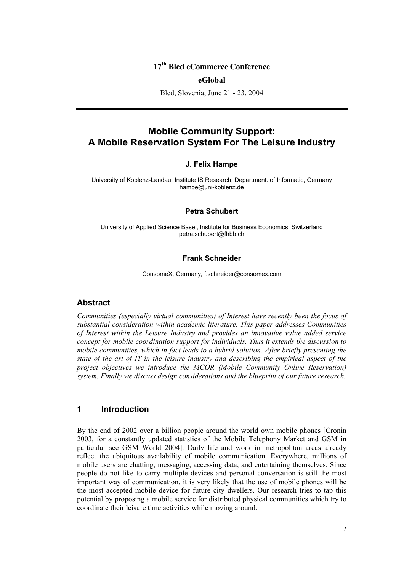## **17th Bled eCommerce Conference**

#### **eGlobal**

Bled, Slovenia, June 21 - 23, 2004

# **Mobile Community Support: A Mobile Reservation System For The Leisure Industry**

#### **J. Felix Hampe**

University of Koblenz-Landau, Institute IS Research, Department. of Informatic, Germany hampe@uni-koblenz.de

#### **Petra Schubert**

University of Applied Science Basel, Institute for Business Economics, Switzerland petra.schubert@fhbb.ch

#### **Frank Schneider**

ConsomeX, Germany, f.schneider@consomex.com

#### **Abstract**

*Communities (especially virtual communities) of Interest have recently been the focus of substantial consideration within academic literature. This paper addresses Communities of Interest within the Leisure Industry and provides an innovative value added service concept for mobile coordination support for individuals. Thus it extends the discussion to mobile communities, which in fact leads to a hybrid-solution. After briefly presenting the state of the art of IT in the leisure industry and describing the empirical aspect of the project objectives we introduce the MCOR (Mobile Community Online Reservation) system. Finally we discuss design considerations and the blueprint of our future research.* 

#### **1 Introduction**

By the end of 2002 over a billion people around the world own mobile phones [Cronin 2003, for a constantly updated statistics of the Mobile Telephony Market and GSM in particular see GSM World 2004]. Daily life and work in metropolitan areas already reflect the ubiquitous availability of mobile communication. Everywhere, millions of mobile users are chatting, messaging, accessing data, and entertaining themselves. Since people do not like to carry multiple devices and personal conversation is still the most important way of communication, it is very likely that the use of mobile phones will be the most accepted mobile device for future city dwellers. Our research tries to tap this potential by proposing a mobile service for distributed physical communities which try to coordinate their leisure time activities while moving around.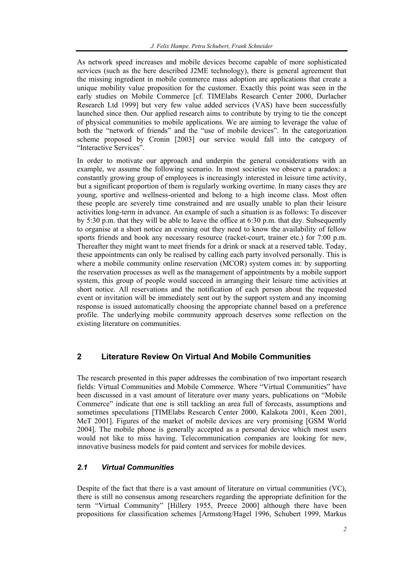As network speed increases and mobile devices become capable of more sophisticated services (such as the here described J2ME technology), there is general agreement that the missing ingredient in mobile commerce mass adoption are applications that create a unique mobility value proposition for the customer. Exactly this point was seen in the early studies on Mobile Commerce [cf. TIMElabs Research Center 2000, Durlacher Research Ltd 1999] but very few value added services (VAS) have been successfully launched since then. Our applied research aims to contribute by trying to tie the concept of physical communities to mobile applications. We are aiming to leverage the value of both the "network of friends" and the "use of mobile devices". In the categorization scheme proposed by Cronin [2003] our service would fall into the category of "Interactive Services".

In order to motivate our approach and underpin the general considerations with an example, we assume the following scenario. In most societies we observe a paradox: a constantly growing group of employees is increasingly interested in leisure time activity, but a significant proportion of them is regularly working overtime. In many cases they are young, sportive and wellness-oriented and belong to a high income class. Most often these people are severely time constrained and are usually unable to plan their leisure activities long-term in advance. An example of such a situation is as follows: To discover by  $5:30$  p.m. that they will be able to leave the office at  $6:30$  p.m. that day. Subsequently to organise at a short notice an evening out they need to know the availability of fellow sports friends and book any necessary resource (racket-court, trainer etc.) for 7:00 p.m. Thereafter they might want to meet friends for a drink or snack at a reserved table. Today, these appointments can only be realised by calling each party involved personally. This is where a mobile community online reservation (MCOR) system comes in: by supporting the reservation processes as well as the management of appointments by a mobile support system, this group of people would succeed in arranging their leisure time activities at short notice. All reservations and the notification of each person about the requested event or invitation will be immediately sent out by the support system and any incoming response is issued automatically choosing the appropriate channel based on a preference profile. The underlying mobile community approach deserves some reflection on the existing literature on communities.

## **2 Literature Review On Virtual And Mobile Communities**

The research presented in this paper addresses the combination of two important research fields: Virtual Communities and Mobile Commerce. Where "Virtual Communities" have been discussed in a vast amount of literature over many years, publications on "Mobile Commerce" indicate that one is still tackling an area full of forecasts, assumptions and sometimes speculations [TIMElabs Research Center 2000, Kalakota 2001, Keen 2001, MeT 2001]. Figures of the market of mobile devices are very promising [GSM World 2004]. The mobile phone is generally accepted as a personal device which most users would not like to miss having. Telecommunication companies are looking for new, innovative business models for paid content and services for mobile devices.

## *2.1 Virtual Communities*

Despite of the fact that there is a vast amount of literature on virtual communities (VC), there is still no consensus among researchers regarding the appropriate definition for the term "Virtual Community" [Hillery 1955, Preece 2000] although there have been propositions for classification schemes [Armstong/Hagel 1996, Schubert 1999, Markus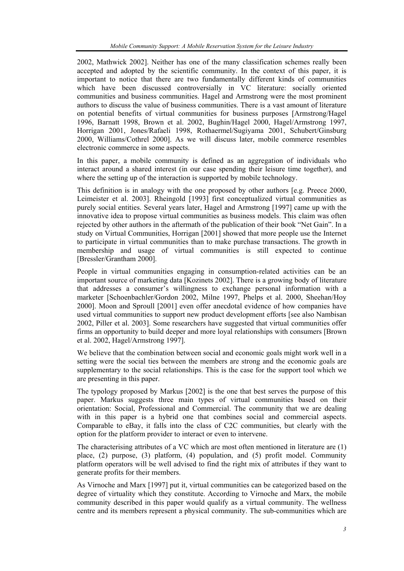2002, Mathwick 2002]. Neither has one of the many classification schemes really been accepted and adopted by the scientific community. In the context of this paper, it is important to notice that there are two fundamentally different kinds of communities which have been discussed controversially in VC literature: socially oriented communities and business communities. Hagel and Armstrong were the most prominent authors to discuss the value of business communities. There is a vast amount of literature on potential benefits of virtual communities for business purposes [Armstrong/Hagel 1996, Barnatt 1998, Brown et al. 2002, Bughin/Hagel 2000, Hagel/Armstrong 1997, Horrigan 2001, Jones/Rafaeli 1998, Rothaermel/Sugiyama 2001, Schubert/Ginsburg 2000, Williams/Cothrel 2000]. As we will discuss later, mobile commerce resembles electronic commerce in some aspects.

In this paper, a mobile community is defined as an aggregation of individuals who interact around a shared interest (in our case spending their leisure time together), and where the setting up of the interaction is supported by mobile technology.

This definition is in analogy with the one proposed by other authors [e.g. Preece 2000, Leimeister et al. 2003]. Rheingold [1993] first conceptualized virtual communities as purely social entities. Several years later, Hagel and Armstrong [1997] came up with the innovative idea to propose virtual communities as business models. This claim was often rejected by other authors in the aftermath of the publication of their book "Net Gain". In a study on Virtual Communities, Horrigan [2001] showed that more people use the Internet to participate in virtual communities than to make purchase transactions. The growth in membership and usage of virtual communities is still expected to continue [Bressler/Grantham 2000].

People in virtual communities engaging in consumption-related activities can be an important source of marketing data [Kozinets 2002]. There is a growing body of literature that addresses a consumer's willingness to exchange personal information with a marketer [Schoenbachler/Gordon 2002, Milne 1997, Phelps et al. 2000, Sheehan/Hoy 2000]. Moon and Sproull [2001] even offer anecdotal evidence of how companies have used virtual communities to support new product development efforts [see also Nambisan 2002, Piller et al. 2003]. Some researchers have suggested that virtual communities offer firms an opportunity to build deeper and more loyal relationships with consumers [Brown et al. 2002, Hagel/Armstrong 1997].

We believe that the combination between social and economic goals might work well in a setting were the social ties between the members are strong and the economic goals are supplementary to the social relationships. This is the case for the support tool which we are presenting in this paper.

The typology proposed by Markus [2002] is the one that best serves the purpose of this paper. Markus suggests three main types of virtual communities based on their orientation: Social, Professional and Commercial. The community that we are dealing with in this paper is a hybrid one that combines social and commercial aspects. Comparable to eBay, it falls into the class of C2C communities, but clearly with the option for the platform provider to interact or even to intervene.

The characterising attributes of a VC which are most often mentioned in literature are (1) place, (2) purpose, (3) platform, (4) population, and (5) profit model. Community platform operators will be well advised to find the right mix of attributes if they want to generate profits for their members.

As Virnoche and Marx [1997] put it, virtual communities can be categorized based on the degree of virtuality which they constitute. According to Virnoche and Marx, the mobile community described in this paper would qualify as a virtual community. The wellness centre and its members represent a physical community. The sub-communities which are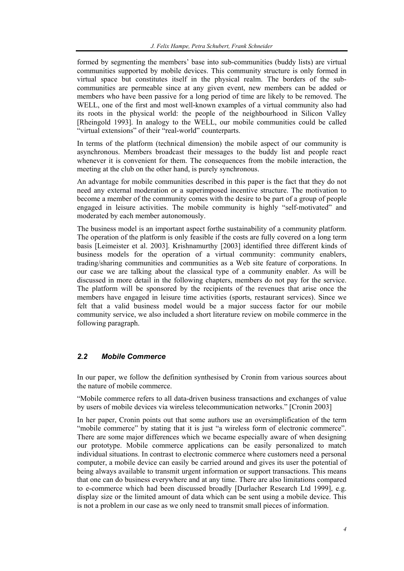formed by segmenting the members' base into sub-communities (buddy lists) are virtual communities supported by mobile devices. This community structure is only formed in virtual space but constitutes itself in the physical realm. The borders of the subcommunities are permeable since at any given event, new members can be added or members who have been passive for a long period of time are likely to be removed. The WELL, one of the first and most well-known examples of a virtual community also had its roots in the physical world: the people of the neighbourhood in Silicon Valley [Rheingold 1993]. In analogy to the WELL, our mobile communities could be called "virtual extensions" of their "real-world" counterparts.

In terms of the platform (technical dimension) the mobile aspect of our community is asynchronous. Members broadcast their messages to the buddy list and people react whenever it is convenient for them. The consequences from the mobile interaction, the meeting at the club on the other hand, is purely synchronous.

An advantage for mobile communities described in this paper is the fact that they do not need any external moderation or a superimposed incentive structure. The motivation to become a member of the community comes with the desire to be part of a group of people engaged in leisure activities. The mobile community is highly "self-motivated" and moderated by each member autonomously.

The business model is an important aspect forthe sustainability of a community platform. The operation of the platform is only feasible if the costs are fully covered on a long term basis [Leimeister et al. 2003]. Krishnamurthy [2003] identified three different kinds of business models for the operation of a virtual community: community enablers, trading/sharing communities and communities as a Web site feature of corporations. In our case we are talking about the classical type of a community enabler. As will be discussed in more detail in the following chapters, members do not pay for the service. The platform will be sponsored by the recipients of the revenues that arise once the members have engaged in leisure time activities (sports, restaurant services). Since we felt that a valid business model would be a major success factor for our mobile community service, we also included a short literature review on mobile commerce in the following paragraph.

#### *2.2 Mobile Commerce*

In our paper, we follow the definition synthesised by Cronin from various sources about the nature of mobile commerce.

"Mobile commerce refers to all data-driven business transactions and exchanges of value by users of mobile devices via wireless telecommunication networks." [Cronin 2003]

In her paper, Cronin points out that some authors use an oversimplification of the term "mobile commerce" by stating that it is just "a wireless form of electronic commerce". There are some major differences which we became especially aware of when designing our prototype. Mobile commerce applications can be easily personalized to match individual situations. In contrast to electronic commerce where customers need a personal computer, a mobile device can easily be carried around and gives its user the potential of being always available to transmit urgent information or support transactions. This means that one can do business everywhere and at any time. There are also limitations compared to e-commerce which had been discussed broadly [Durlacher Research Ltd 1999], e.g. display size or the limited amount of data which can be sent using a mobile device. This is not a problem in our case as we only need to transmit small pieces of information.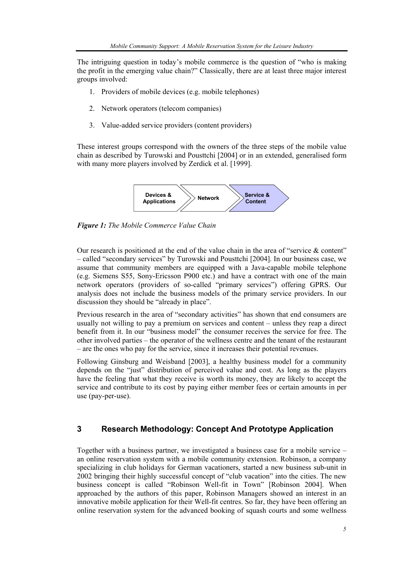The intriguing question in today's mobile commerce is the question of "who is making the profit in the emerging value chain?" Classically, there are at least three major interest groups involved:

- 1. Providers of mobile devices (e.g. mobile telephones)
- 2. Network operators (telecom companies)
- 3. Value-added service providers (content providers)

These interest groups correspond with the owners of the three steps of the mobile value chain as described by Turowski and Pousttchi [2004] or in an extended, generalised form with many more players involved by Zerdick et al. [1999].



*Figure 1: The Mobile Commerce Value Chain* 

Our research is positioned at the end of the value chain in the area of "service  $\&$  content" – called "secondary services" by Turowski and Pousttchi [2004]. In our business case, we assume that community members are equipped with a Java-capable mobile telephone (e.g. Siemens S55, Sony-Ericsson P900 etc.) and have a contract with one of the main network operators (providers of so-called "primary services") offering GPRS. Our analysis does not include the business models of the primary service providers. In our discussion they should be "already in place".

Previous research in the area of "secondary activities" has shown that end consumers are usually not willing to pay a premium on services and content – unless they reap a direct benefit from it. In our "business model" the consumer receives the service for free. The other involved parties – the operator of the wellness centre and the tenant of the restaurant – are the ones who pay for the service, since it increases their potential revenues.

Following Ginsburg and Weisband [2003], a healthy business model for a community depends on the "just" distribution of perceived value and cost. As long as the players have the feeling that what they receive is worth its money, they are likely to accept the service and contribute to its cost by paying either member fees or certain amounts in per use (pay-per-use).

#### **3 Research Methodology: Concept And Prototype Application**

Together with a business partner, we investigated a business case for a mobile service – an online reservation system with a mobile community extension. Robinson, a company specializing in club holidays for German vacationers, started a new business sub-unit in 2002 bringing their highly successful concept of "club vacation" into the cities. The new business concept is called "Robinson Well-fit in Town" [Robinson 2004]. When approached by the authors of this paper, Robinson Managers showed an interest in an innovative mobile application for their Well-fit centres. So far, they have been offering an online reservation system for the advanced booking of squash courts and some wellness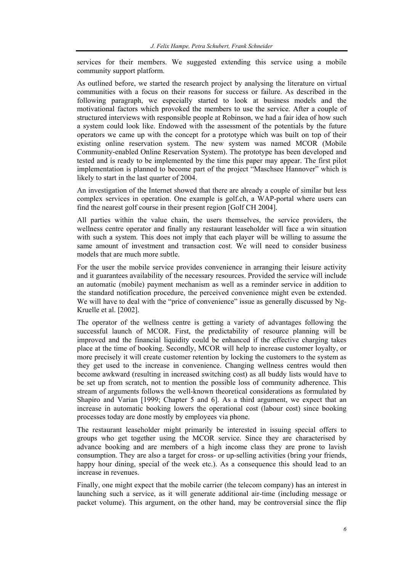services for their members. We suggested extending this service using a mobile community support platform.

As outlined before, we started the research project by analysing the literature on virtual communities with a focus on their reasons for success or failure. As described in the following paragraph, we especially started to look at business models and the motivational factors which provoked the members to use the service. After a couple of structured interviews with responsible people at Robinson, we had a fair idea of how such a system could look like. Endowed with the assessment of the potentials by the future operators we came up with the concept for a prototype which was built on top of their existing online reservation system. The new system was named MCOR (Mobile Community-enabled Online Reservation System). The prototype has been developed and tested and is ready to be implemented by the time this paper may appear. The first pilot implementation is planned to become part of the project "Maschsee Hannover" which is likely to start in the last quarter of 2004.

An investigation of the Internet showed that there are already a couple of similar but less complex services in operation. One example is golf.ch, a WAP-portal where users can find the nearest golf course in their present region [Golf CH 2004].

All parties within the value chain, the users themselves, the service providers, the wellness centre operator and finally any restaurant leaseholder will face a win situation with such a system. This does not imply that each player will be willing to assume the same amount of investment and transaction cost. We will need to consider business models that are much more subtle.

For the user the mobile service provides convenience in arranging their leisure activity and it guarantees availability of the necessary resources. Provided the service will include an automatic (mobile) payment mechanism as well as a reminder service in addition to the standard notification procedure, the perceived convenience might even be extended. We will have to deal with the "price of convenience" issue as generally discussed by Ng-Kruelle et al. [2002].

The operator of the wellness centre is getting a variety of advantages following the successful launch of MCOR. First, the predictability of resource planning will be improved and the financial liquidity could be enhanced if the effective charging takes place at the time of booking. Secondly, MCOR will help to increase customer loyalty, or more precisely it will create customer retention by locking the customers to the system as they get used to the increase in convenience. Changing wellness centres would then become awkward (resulting in increased switching cost) as all buddy lists would have to be set up from scratch, not to mention the possible loss of community adherence. This stream of arguments follows the well-known theoretical considerations as formulated by Shapiro and Varian [1999; Chapter 5 and 6]. As a third argument, we expect that an increase in automatic booking lowers the operational cost (labour cost) since booking processes today are done mostly by employees via phone.

The restaurant leaseholder might primarily be interested in issuing special offers to groups who get together using the MCOR service. Since they are characterised by advance booking and are members of a high income class they are prone to lavish consumption. They are also a target for cross- or up-selling activities (bring your friends, happy hour dining, special of the week etc.). As a consequence this should lead to an increase in revenues.

Finally, one might expect that the mobile carrier (the telecom company) has an interest in launching such a service, as it will generate additional air-time (including message or packet volume). This argument, on the other hand, may be controversial since the flip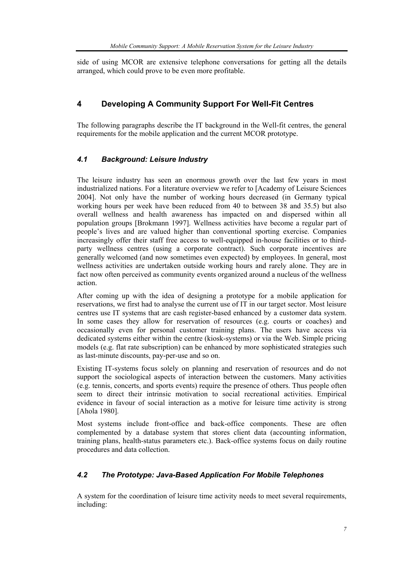side of using MCOR are extensive telephone conversations for getting all the details arranged, which could prove to be even more profitable.

# **4 Developing A Community Support For Well-Fit Centres**

The following paragraphs describe the IT background in the Well-fit centres, the general requirements for the mobile application and the current MCOR prototype.

## *4.1 Background: Leisure Industry*

The leisure industry has seen an enormous growth over the last few years in most industrialized nations. For a literature overview we refer to [Academy of Leisure Sciences 2004]. Not only have the number of working hours decreased (in Germany typical working hours per week have been reduced from 40 to between 38 and 35.5) but also overall wellness and health awareness has impacted on and dispersed within all population groups [Brokmann 1997]. Wellness activities have become a regular part of people's lives and are valued higher than conventional sporting exercise. Companies increasingly offer their staff free access to well-equipped in-house facilities or to thirdparty wellness centres (using a corporate contract). Such corporate incentives are generally welcomed (and now sometimes even expected) by employees. In general, most wellness activities are undertaken outside working hours and rarely alone. They are in fact now often perceived as community events organized around a nucleus of the wellness action.

After coming up with the idea of designing a prototype for a mobile application for reservations, we first had to analyse the current use of IT in our target sector. Most leisure centres use IT systems that are cash register-based enhanced by a customer data system. In some cases they allow for reservation of resources (e.g. courts or coaches) and occasionally even for personal customer training plans. The users have access via dedicated systems either within the centre (kiosk-systems) or via the Web. Simple pricing models (e.g. flat rate subscription) can be enhanced by more sophisticated strategies such as last-minute discounts, pay-per-use and so on.

Existing IT-systems focus solely on planning and reservation of resources and do not support the sociological aspects of interaction between the customers. Many activities (e.g. tennis, concerts, and sports events) require the presence of others. Thus people often seem to direct their intrinsic motivation to social recreational activities. Empirical evidence in favour of social interaction as a motive for leisure time activity is strong [Ahola 1980].

Most systems include front-office and back-office components. These are often complemented by a database system that stores client data (accounting information, training plans, health-status parameters etc.). Back-office systems focus on daily routine procedures and data collection.

## *4.2 The Prototype: Java-Based Application For Mobile Telephones*

A system for the coordination of leisure time activity needs to meet several requirements, including: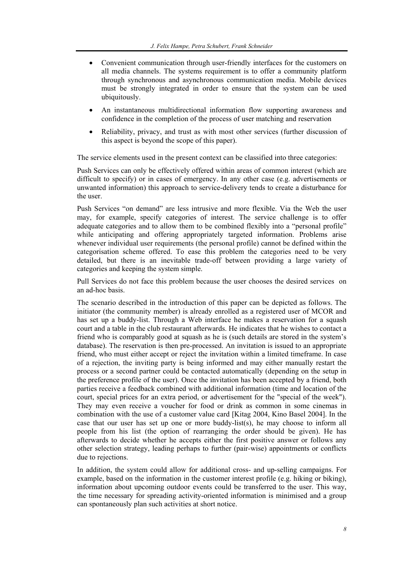- Convenient communication through user-friendly interfaces for the customers on all media channels. The systems requirement is to offer a community platform through synchronous and asynchronous communication media. Mobile devices must be strongly integrated in order to ensure that the system can be used ubiquitously.
- An instantaneous multidirectional information flow supporting awareness and confidence in the completion of the process of user matching and reservation
- Reliability, privacy, and trust as with most other services (further discussion of this aspect is beyond the scope of this paper).

The service elements used in the present context can be classified into three categories:

Push Services can only be effectively offered within areas of common interest (which are difficult to specify) or in cases of emergency. In any other case (e.g. advertisements or unwanted information) this approach to service-delivery tends to create a disturbance for the user.

Push Services "on demand" are less intrusive and more flexible. Via the Web the user may, for example, specify categories of interest. The service challenge is to offer adequate categories and to allow them to be combined flexibly into a "personal profile" while anticipating and offering appropriately targeted information. Problems arise whenever individual user requirements (the personal profile) cannot be defined within the categorisation scheme offered. To ease this problem the categories need to be very detailed, but there is an inevitable trade-off between providing a large variety of categories and keeping the system simple.

Pull Services do not face this problem because the user chooses the desired services on an ad-hoc basis.

The scenario described in the introduction of this paper can be depicted as follows. The initiator (the community member) is already enrolled as a registered user of MCOR and has set up a buddy-list. Through a Web interface he makes a reservation for a squash court and a table in the club restaurant afterwards. He indicates that he wishes to contact a friend who is comparably good at squash as he is (such details are stored in the system's database). The reservation is then pre-processed. An invitation is issued to an appropriate friend, who must either accept or reject the invitation within a limited timeframe. In case of a rejection, the inviting party is being informed and may either manually restart the process or a second partner could be contacted automatically (depending on the setup in the preference profile of the user). Once the invitation has been accepted by a friend, both parties receive a feedback combined with additional information (time and location of the court, special prices for an extra period, or advertisement for the "special of the week"). They may even receive a voucher for food or drink as common in some cinemas in combination with the use of a customer value card [Kitag 2004, Kino Basel 2004]. In the case that our user has set up one or more buddy-list(s), he may choose to inform all people from his list (the option of rearranging the order should be given). He has afterwards to decide whether he accepts either the first positive answer or follows any other selection strategy, leading perhaps to further (pair-wise) appointments or conflicts due to rejections.

In addition, the system could allow for additional cross- and up-selling campaigns. For example, based on the information in the customer interest profile (e.g. hiking or biking), information about upcoming outdoor events could be transferred to the user. This way, the time necessary for spreading activity-oriented information is minimised and a group can spontaneously plan such activities at short notice.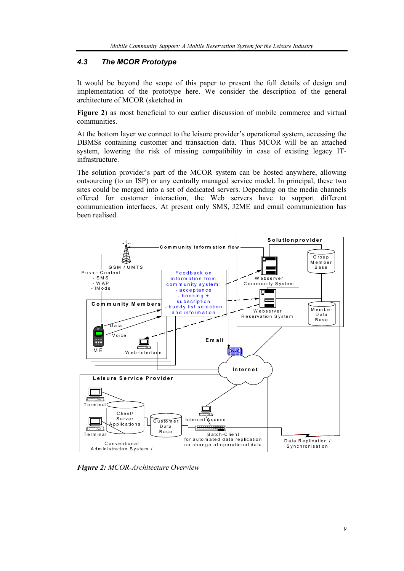#### *4.3 The MCOR Prototype*

It would be beyond the scope of this paper to present the full details of design and implementation of the prototype here. We consider the description of the general architecture of MCOR (sketched in

**Figure 2**) as most beneficial to our earlier discussion of mobile commerce and virtual communities.

At the bottom layer we connect to the leisure provider's operational system, accessing the DBMSs containing customer and transaction data. Thus MCOR will be an attached system, lowering the risk of missing compatibility in case of existing legacy ITinfrastructure.

The solution provider's part of the MCOR system can be hosted anywhere, allowing outsourcing (to an ISP) or any centrally managed service model. In principal, these two sites could be merged into a set of dedicated servers. Depending on the media channels offered for customer interaction, the Web servers have to support different communication interfaces. At present only SMS, J2ME and email communication has been realised.



*Figure 2: MCOR-Architecture Overview*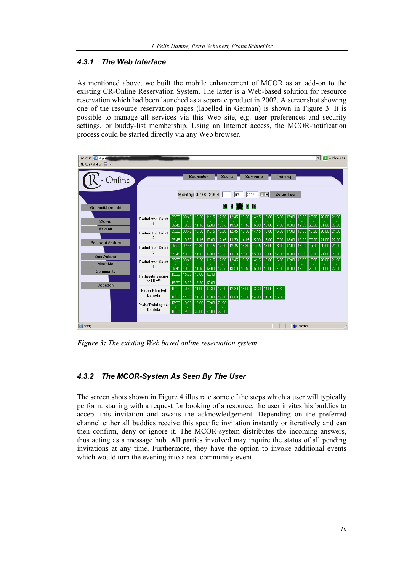## *4.3.1 The Web Interface*

As mentioned above, we built the mobile enhancement of MCOR as an add-on to the existing CR-Online Reservation System. The latter is a Web-based solution for resource reservation which had been launched as a separate product in 2002. A screenshot showing one of the resource reservation pages (labelled in German) is shown in Figure 3. It is possible to manage all services via this Web site, e.g. user preferences and security settings, or buddy-list membership. Using an Internet access, the MCOR-notification process could be started directly via any Web browser.



*Figure 3: The existing Web based online reservation system* 

## *4.3.2 The MCOR-System As Seen By The User*

The screen shots shown in Figure 4 illustrate some of the steps which a user will typically perform: starting with a request for booking of a resource, the user invites his buddies to accept this invitation and awaits the acknowledgement. Depending on the preferred channel either all buddies receive this specific invitation instantly or iteratively and can then confirm, deny or ignore it. The MCOR-system distributes the incoming answers, thus acting as a message hub. All parties involved may inquire the status of all pending invitations at any time. Furthermore, they have the option to invoke additional events which would turn the evening into a real community event.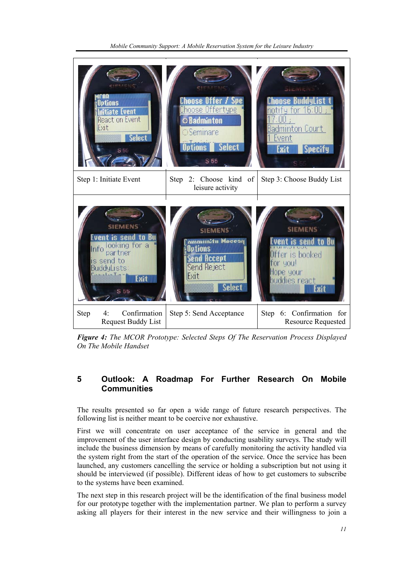

*Figure 4: The MCOR Prototype: Selected Steps Of The Reservation Process Displayed On The Mobile Handset* 

## **5 Outlook: A Roadmap For Further Research On Mobile Communities**

The results presented so far open a wide range of future research perspectives. The following list is neither meant to be coercive nor exhaustive.

First we will concentrate on user acceptance of the service in general and the improvement of the user interface design by conducting usability surveys. The study will include the business dimension by means of carefully monitoring the activity handled via the system right from the start of the operation of the service. Once the service has been launched, any customers cancelling the service or holding a subscription but not using it should be interviewed (if possible). Different ideas of how to get customers to subscribe to the systems have been examined.

The next step in this research project will be the identification of the final business model for our prototype together with the implementation partner. We plan to perform a survey asking all players for their interest in the new service and their willingness to join a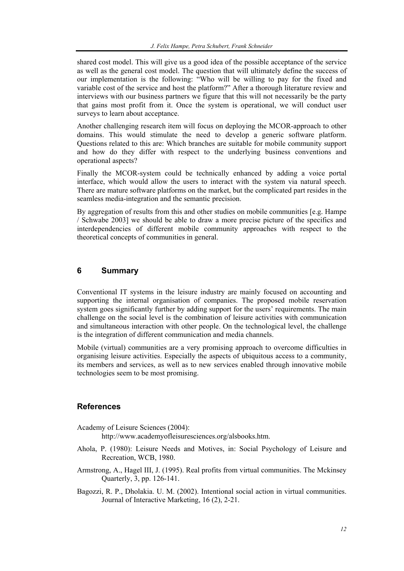shared cost model. This will give us a good idea of the possible acceptance of the service as well as the general cost model. The question that will ultimately define the success of our implementation is the following: "Who will be willing to pay for the fixed and variable cost of the service and host the platform?" After a thorough literature review and interviews with our business partners we figure that this will not necessarily be the party that gains most profit from it. Once the system is operational, we will conduct user surveys to learn about acceptance.

Another challenging research item will focus on deploying the MCOR-approach to other domains. This would stimulate the need to develop a generic software platform. Questions related to this are: Which branches are suitable for mobile community support and how do they differ with respect to the underlying business conventions and operational aspects?

Finally the MCOR-system could be technically enhanced by adding a voice portal interface, which would allow the users to interact with the system via natural speech. There are mature software platforms on the market, but the complicated part resides in the seamless media-integration and the semantic precision.

By aggregation of results from this and other studies on mobile communities [e.g. Hampe / Schwabe 2003] we should be able to draw a more precise picture of the specifics and interdependencies of different mobile community approaches with respect to the theoretical concepts of communities in general.

## **6 Summary**

Conventional IT systems in the leisure industry are mainly focused on accounting and supporting the internal organisation of companies. The proposed mobile reservation system goes significantly further by adding support for the users' requirements. The main challenge on the social level is the combination of leisure activities with communication and simultaneous interaction with other people. On the technological level, the challenge is the integration of different communication and media channels.

Mobile (virtual) communities are a very promising approach to overcome difficulties in organising leisure activities. Especially the aspects of ubiquitous access to a community, its members and services, as well as to new services enabled through innovative mobile technologies seem to be most promising.

#### **References**

Academy of Leisure Sciences (2004): http://www.academyofleisuresciences.org/alsbooks.htm.

- Ahola, P. (1980): Leisure Needs and Motives, in: Social Psychology of Leisure and Recreation, WCB, 1980.
- Armstrong, A., Hagel III, J. (1995). Real profits from virtual communities. The Mckinsey Quarterly, 3, pp. 126-141.
- Bagozzi, R. P., Dholakia. U. M. (2002). Intentional social action in virtual communities. Journal of Interactive Marketing, 16 (2), 2-21.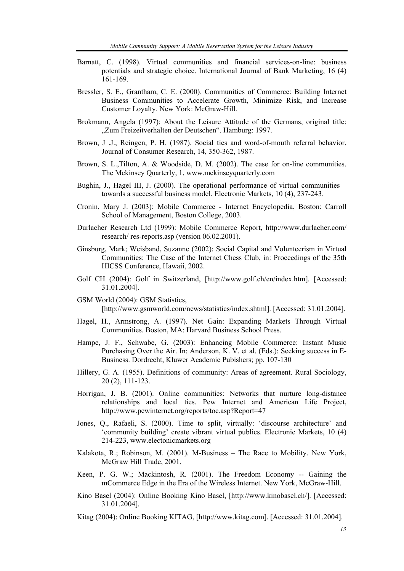- Barnatt, C. (1998). Virtual communities and financial services-on-line: business potentials and strategic choice. International Journal of Bank Marketing, 16 (4) 161-169.
- Bressler, S. E., Grantham, C. E. (2000). Communities of Commerce: Building Internet Business Communities to Accelerate Growth, Minimize Risk, and Increase Customer Loyalty. New York: McGraw-Hill.
- Brokmann, Angela (1997): About the Leisure Attitude of the Germans, original title: "Zum Freizeitverhalten der Deutschen". Hamburg: 1997.
- Brown, J .J., Reingen, P. H. (1987). Social ties and word-of-mouth referral behavior. Journal of Consumer Research, 14, 350-362, 1987.
- Brown, S. L.,Tilton, A. & Woodside, D. M. (2002). The case for on-line communities. The Mckinsey Quarterly, 1, www.mckinseyquarterly.com
- Bughin, J., Hagel III, J. (2000). The operational performance of virtual communities towards a successful business model. Electronic Markets, 10 (4), 237-243.
- Cronin, Mary J. (2003): Mobile Commerce Internet Encyclopedia, Boston: Carroll School of Management, Boston College, 2003.
- Durlacher Research Ltd (1999): Mobile Commerce Report, http://www.durlacher.com/ research/ res-reports.asp (version 06.02.2001).
- Ginsburg, Mark; Weisband, Suzanne (2002): Social Capital and Volunteerism in Virtual Communities: The Case of the Internet Chess Club, in: Proceedings of the 35th HICSS Conference, Hawaii, 2002.
- Golf CH (2004): Golf in Switzerland, [http://www.golf.ch/en/index.htm]. [Accessed: 31.01.2004].
- GSM World (2004): GSM Statistics, [http://www.gsmworld.com/news/statistics/index.shtml]. [Accessed: 31.01.2004].
- Hagel, H., Armstrong, A. (1997). Net Gain: Expanding Markets Through Virtual Communities. Boston, MA: Harvard Business School Press.
- Hampe, J. F., Schwabe, G. (2003): Enhancing Mobile Commerce: Instant Music Purchasing Over the Air. In: Anderson, K. V. et al. (Eds.): Seeking success in E-Business. Dordrecht, Kluwer Academic Pubishers; pp. 107-130
- Hillery, G. A. (1955). Definitions of community: Areas of agreement. Rural Sociology, 20 (2), 111-123.
- Horrigan, J. B. (2001). Online communities: Networks that nurture long-distance relationships and local ties. Pew Internet and American Life Project, http://www.pewinternet.org/reports/toc.asp?Report=47
- Jones, Q., Rafaeli, S. (2000). Time to split, virtually: 'discourse architecture' and 'community building' create vibrant virtual publics. Electronic Markets, 10 (4) 214-223, www.electonicmarkets.org
- Kalakota, R.; Robinson, M. (2001). M-Business The Race to Mobility. New York, McGraw Hill Trade, 2001.
- Keen, P. G. W.; Mackintosh, R. (2001). The Freedom Economy -- Gaining the mCommerce Edge in the Era of the Wireless Internet. New York, McGraw-Hill.
- Kino Basel (2004): Online Booking Kino Basel, [http://www.kinobasel.ch/]. [Accessed: 31.01.2004].
- Kitag (2004): Online Booking KITAG, [http://www.kitag.com]. [Accessed: 31.01.2004].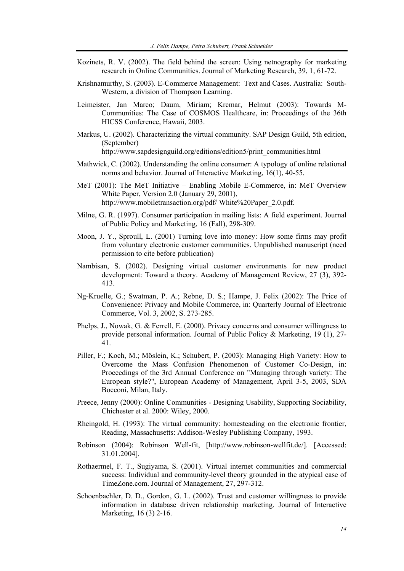- Kozinets, R. V. (2002). The field behind the screen: Using netnography for marketing research in Online Communities. Journal of Marketing Research, 39, 1, 61-72.
- Krishnamurthy, S. (2003). E-Commerce Management: Text and Cases. Australia: South-Western, a division of Thompson Learning.
- Leimeister, Jan Marco; Daum, Miriam; Krcmar, Helmut (2003): Towards M-Communities: The Case of COSMOS Healthcare, in: Proceedings of the 36th HICSS Conference, Hawaii, 2003.
- Markus, U. (2002). Characterizing the virtual community. SAP Design Guild, 5th edition, (September) http://www.sapdesignguild.org/editions/edition5/print\_communities.html
- Mathwick, C. (2002). Understanding the online consumer: A typology of online relational norms and behavior. Journal of Interactive Marketing, 16(1), 40-55.
- MeT (2001): The MeT Initiative Enabling Mobile E-Commerce, in: MeT Overview White Paper, Version 2.0 (January 29, 2001), http://www.mobiletransaction.org/pdf/ White%20Paper 2.0.pdf.
- Milne, G. R. (1997). Consumer participation in mailing lists: A field experiment. Journal of Public Policy and Marketing, 16 (Fall), 298-309.
- Moon, J. Y., Sproull, L. (2001) Turning love into money: How some firms may profit from voluntary electronic customer communities. Unpublished manuscript (need permission to cite before publication)
- Nambisan, S. (2002). Designing virtual customer environments for new product development: Toward a theory. Academy of Management Review, 27 (3), 392- 413.
- Ng-Kruelle, G.; Swatman, P. A.; Rebne, D. S.; Hampe, J. Felix (2002): The Price of Convenience: Privacy and Mobile Commerce, in: Quarterly Journal of Electronic Commerce, Vol. 3, 2002, S. 273-285.
- Phelps, J., Nowak, G. & Ferrell, E. (2000). Privacy concerns and consumer willingness to provide personal information. Journal of Public Policy & Marketing, 19 (1), 27- 41.
- Piller, F.; Koch, M.; Möslein, K.; Schubert, P. (2003): Managing High Variety: How to Overcome the Mass Confusion Phenomenon of Customer Co-Design, in: Proceedings of the 3rd Annual Conference on "Managing through variety: The European style?", European Academy of Management, April 3-5, 2003, SDA Bocconi, Milan, Italy.
- Preece, Jenny (2000): Online Communities Designing Usability, Supporting Sociability, Chichester et al. 2000: Wiley, 2000.
- Rheingold, H. (1993): The virtual community: homesteading on the electronic frontier, Reading, Massachusetts: Addison-Wesley Publishing Company, 1993.
- Robinson (2004): Robinson Well-fit, [http://www.robinson-wellfit.de/]. [Accessed: 31.01.2004].
- Rothaermel, F. T., Sugiyama, S. (2001). Virtual internet communities and commercial success: Individual and community-level theory grounded in the atypical case of TimeZone.com. Journal of Management, 27, 297-312.
- Schoenbachler, D. D., Gordon, G. L. (2002). Trust and customer willingness to provide information in database driven relationship marketing. Journal of Interactive Marketing, 16 (3) 2-16.